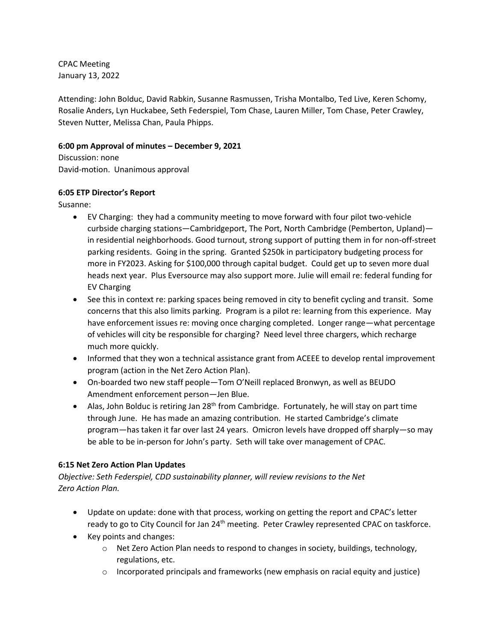CPAC Meeting January 13, 2022

Attending: John Bolduc, David Rabkin, Susanne Rasmussen, Trisha Montalbo, Ted Live, Keren Schomy, Rosalie Anders, Lyn Huckabee, Seth Federspiel, Tom Chase, Lauren Miller, Tom Chase, Peter Crawley, Steven Nutter, Melissa Chan, Paula Phipps.

## **6:00 pm Approval of minutes – December 9, 2021**

Discussion: none David-motion. Unanimous approval

# **6:05 ETP Director's Report**

Susanne:

- EV Charging: they had a community meeting to move forward with four pilot two-vehicle curbside charging stations—Cambridgeport, The Port, North Cambridge (Pemberton, Upland) in residential neighborhoods. Good turnout, strong support of putting them in for non-off-street parking residents. Going in the spring. Granted \$250k in participatory budgeting process for more in FY2023. Asking for \$100,000 through capital budget. Could get up to seven more dual heads next year. Plus Eversource may also support more. Julie will email re: federal funding for EV Charging
- See this in context re: parking spaces being removed in city to benefit cycling and transit. Some concerns that this also limits parking. Program is a pilot re: learning from this experience. May have enforcement issues re: moving once charging completed. Longer range—what percentage of vehicles will city be responsible for charging? Need level three chargers, which recharge much more quickly.
- Informed that they won a technical assistance grant from ACEEE to develop rental improvement program (action in the Net Zero Action Plan).
- On-boarded two new staff people—Tom O'Neill replaced Bronwyn, as well as BEUDO Amendment enforcement person—Jen Blue.
- Alas, John Bolduc is retiring Jan  $28<sup>th</sup>$  from Cambridge. Fortunately, he will stay on part time through June. He has made an amazing contribution. He started Cambridge's climate program—has taken it far over last 24 years. Omicron levels have dropped off sharply—so may be able to be in-person for John's party. Seth will take over management of CPAC.

# **6:15 Net Zero Action Plan Updates**

*Objective: Seth Federspiel, CDD sustainability planner, will review revisions to the Net Zero Action Plan.*

- Update on update: done with that process, working on getting the report and CPAC's letter ready to go to City Council for Jan 24<sup>th</sup> meeting. Peter Crawley represented CPAC on taskforce.
- Key points and changes:
	- $\circ$  Net Zero Action Plan needs to respond to changes in society, buildings, technology, regulations, etc.
	- $\circ$  Incorporated principals and frameworks (new emphasis on racial equity and justice)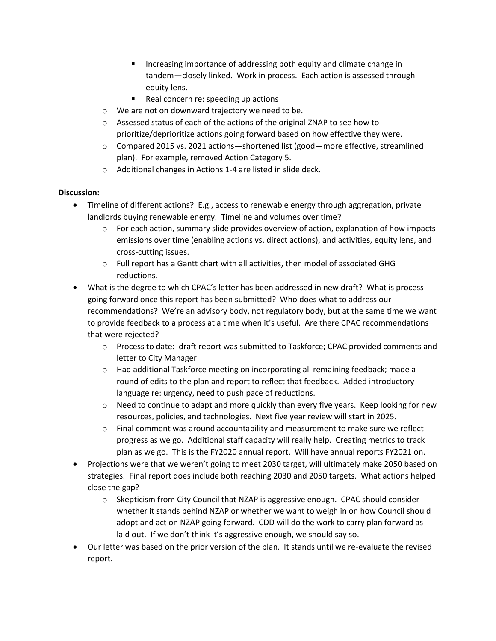- **Increasing importance of addressing both equity and climate change in** tandem—closely linked. Work in process. Each action is assessed through equity lens.
- Real concern re: speeding up actions
- o We are not on downward trajectory we need to be.
- o Assessed status of each of the actions of the original ZNAP to see how to prioritize/deprioritize actions going forward based on how effective they were.
- o Compared 2015 vs. 2021 actions—shortened list (good—more effective, streamlined plan). For example, removed Action Category 5.
- o Additional changes in Actions 1-4 are listed in slide deck.

### **Discussion:**

- Timeline of different actions? E.g., access to renewable energy through aggregation, private landlords buying renewable energy. Timeline and volumes over time?
	- $\circ$  For each action, summary slide provides overview of action, explanation of how impacts emissions over time (enabling actions vs. direct actions), and activities, equity lens, and cross-cutting issues.
	- $\circ$  Full report has a Gantt chart with all activities, then model of associated GHG reductions.
- What is the degree to which CPAC's letter has been addressed in new draft? What is process going forward once this report has been submitted? Who does what to address our recommendations? We're an advisory body, not regulatory body, but at the same time we want to provide feedback to a process at a time when it's useful. Are there CPAC recommendations that were rejected?
	- o Process to date: draft report was submitted to Taskforce; CPAC provided comments and letter to City Manager
	- o Had additional Taskforce meeting on incorporating all remaining feedback; made a round of edits to the plan and report to reflect that feedback. Added introductory language re: urgency, need to push pace of reductions.
	- $\circ$  Need to continue to adapt and more quickly than every five years. Keep looking for new resources, policies, and technologies. Next five year review will start in 2025.
	- $\circ$  Final comment was around accountability and measurement to make sure we reflect progress as we go. Additional staff capacity will really help. Creating metrics to track plan as we go. This is the FY2020 annual report. Will have annual reports FY2021 on.
- Projections were that we weren't going to meet 2030 target, will ultimately make 2050 based on strategies. Final report does include both reaching 2030 and 2050 targets. What actions helped close the gap?
	- $\circ$  Skepticism from City Council that NZAP is aggressive enough. CPAC should consider whether it stands behind NZAP or whether we want to weigh in on how Council should adopt and act on NZAP going forward. CDD will do the work to carry plan forward as laid out. If we don't think it's aggressive enough, we should say so.
- Our letter was based on the prior version of the plan. It stands until we re-evaluate the revised report.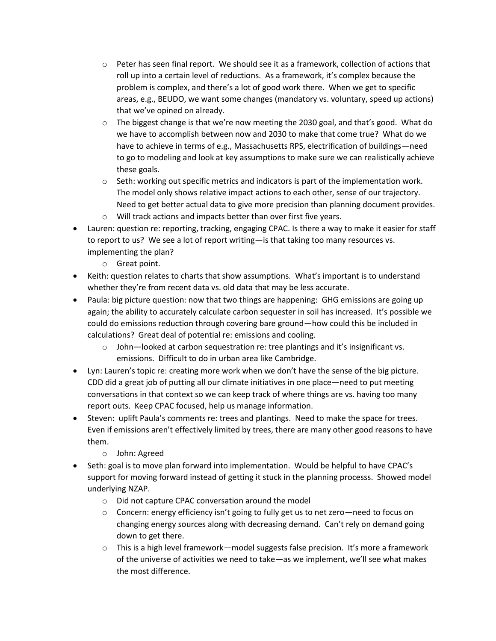- $\circ$  Peter has seen final report. We should see it as a framework, collection of actions that roll up into a certain level of reductions. As a framework, it's complex because the problem is complex, and there's a lot of good work there. When we get to specific areas, e.g., BEUDO, we want some changes (mandatory vs. voluntary, speed up actions) that we've opined on already.
- o The biggest change is that we're now meeting the 2030 goal, and that's good. What do we have to accomplish between now and 2030 to make that come true? What do we have to achieve in terms of e.g., Massachusetts RPS, electrification of buildings—need to go to modeling and look at key assumptions to make sure we can realistically achieve these goals.
- $\circ$  Seth: working out specific metrics and indicators is part of the implementation work. The model only shows relative impact actions to each other, sense of our trajectory. Need to get better actual data to give more precision than planning document provides.
- o Will track actions and impacts better than over first five years.
- Lauren: question re: reporting, tracking, engaging CPAC. Is there a way to make it easier for staff to report to us? We see a lot of report writing—is that taking too many resources vs. implementing the plan?
	- o Great point.
- Keith: question relates to charts that show assumptions. What's important is to understand whether they're from recent data vs. old data that may be less accurate.
- Paula: big picture question: now that two things are happening: GHG emissions are going up again; the ability to accurately calculate carbon sequester in soil has increased. It's possible we could do emissions reduction through covering bare ground—how could this be included in calculations? Great deal of potential re: emissions and cooling.
	- o John—looked at carbon sequestration re: tree plantings and it's insignificant vs. emissions. Difficult to do in urban area like Cambridge.
- Lyn: Lauren's topic re: creating more work when we don't have the sense of the big picture. CDD did a great job of putting all our climate initiatives in one place—need to put meeting conversations in that context so we can keep track of where things are vs. having too many report outs. Keep CPAC focused, help us manage information.
- Steven: uplift Paula's comments re: trees and plantings. Need to make the space for trees. Even if emissions aren't effectively limited by trees, there are many other good reasons to have them.
	- o John: Agreed
- Seth: goal is to move plan forward into implementation. Would be helpful to have CPAC's support for moving forward instead of getting it stuck in the planning processs. Showed model underlying NZAP.
	- o Did not capture CPAC conversation around the model
	- $\circ$  Concern: energy efficiency isn't going to fully get us to net zero—need to focus on changing energy sources along with decreasing demand. Can't rely on demand going down to get there.
	- $\circ$  This is a high level framework—model suggests false precision. It's more a framework of the universe of activities we need to take—as we implement, we'll see what makes the most difference.